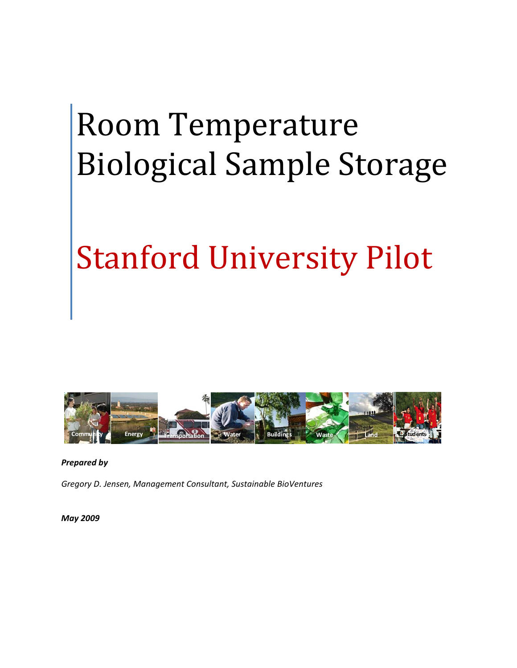# Room Temperature Biological Sample Storage

# Stanford University Pilot



*Prepared by*

*Gregory D. Jensen, Management Consultant, Sustainable BioVentures*

*May 2009*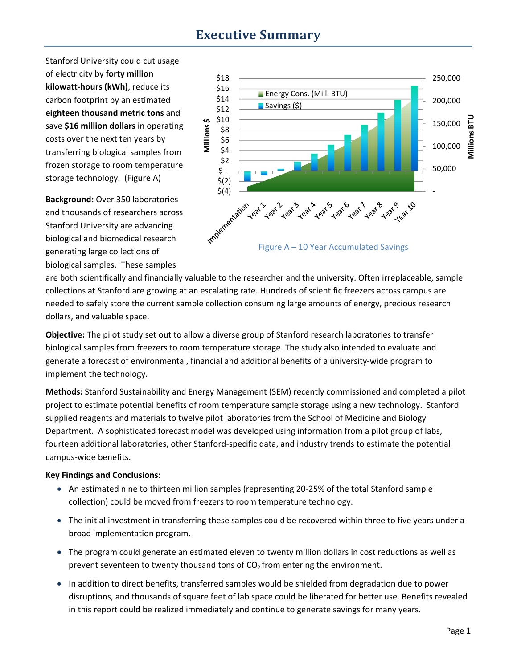## **Executive Summary**

Stanford University could cut usage of electricity by **forty million kilowatt‐hours (kWh)**, reduce its carbon footprint by an estimated **eighteen thousand metric tons** and save **\$16 million dollars** in operating costs over the next ten years by transferring biological samples from frozen storage to room temperature storage technology. (Figure A)

**Background:** Over 350 laboratories and thousands of researchers across Stanford University are advancing biological and biomedical research generating large collections of biological samples. These samples



are both scientifically and financially valuable to the researcher and the university. Often irreplaceable, sample collections at Stanford are growing at an escalating rate. Hundreds of scientific freezers across campus are needed to safely store the current sample collection consuming large amounts of energy, precious research dollars, and valuable space.

**Objective:** The pilot study set out to allow a diverse group of Stanford research laboratories to transfer biological samples from freezers to room temperature storage. The study also intended to evaluate and generate a forecast of environmental, financial and additional benefits of a university‐wide program to implement the technology.

**Methods:** Stanford Sustainability and Energy Management (SEM) recently commissioned and completed a pilot project to estimate potential benefits of room temperature sample storage using a new technology. Stanford supplied reagents and materials to twelve pilot laboratories from the School of Medicine and Biology Department. A sophisticated forecast model was developed using information from a pilot group of labs, fourteen additional laboratories, other Stanford‐specific data, and industry trends to estimate the potential campus‐wide benefits.

#### **Key Findings and Conclusions:**

- An estimated nine to thirteen million samples (representing 20‐25% of the total Stanford sample collection) could be moved from freezers to room temperature technology.
- The initial investment in transferring these samples could be recovered within three to five years under a broad implementation program.
- The program could generate an estimated eleven to twenty million dollars in cost reductions as well as prevent seventeen to twenty thousand tons of  $CO<sub>2</sub>$  from entering the environment.
- In addition to direct benefits, transferred samples would be shielded from degradation due to power disruptions, and thousands of square feet of lab space could be liberated for better use. Benefits revealed in this report could be realized immediately and continue to generate savings for many years.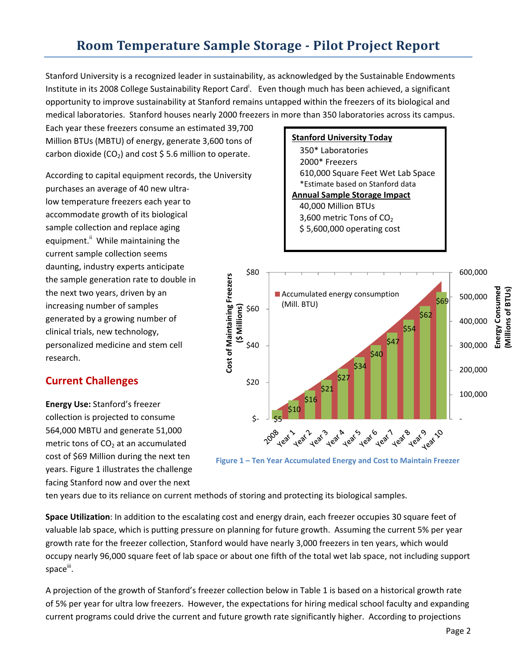# **Room Temperature Sample Storage Pilot Project Report**

Stanford University is a recognized leader in sustainability, as acknowledged by the Sustainable Endowments Institute in its 2008 College Sustainability Report Card<sup>i</sup>. Even though much has been achieved, a significant opportunity to improve sustainability at Stanford remains untapped within the freezers of its biological and medical laboratories. Stanford houses nearly 2000 freezers in more than 350 laboratories across its campus.

Each year these freezers consume an estimated 39,700 Million BTUs (MBTU) of energy, generate 3,600 tons of carbon dioxide (CO<sub>2</sub>) and cost \$5.6 million to operate.

According to capital equipment records, the University purchases an average of 40 new ultra‐ low temperature freezers each year to accommodate growth of its biological sample collection and replace aging equipment.<sup>ii</sup> While maintaining the current sample collection seems daunting, industry experts anticipate the sample generation rate to double in the next two years, driven by an increasing number of samples generated by a growing number of clinical trials, new technology, personalized medicine and stem cell research.

## **Current Challenges**

**Energy Use:** Stanford's freezer collection is projected to consume 564,000 MBTU and generate 51,000 metric tons of  $CO<sub>2</sub>$  at an accumulated cost of \$69 Million during the next ten years. Figure 1 illustrates the challenge facing Stanford now and over the next

## **Stanford University Today**

350\* Laboratories 2000\* Freezers 610,000 Square Feet Wet Lab Space \*Estimate based on Stanford data **Annual Sample Storage Impact**

- 40,000 Million BTUs 3,600 metric Tons of  $CO<sub>2</sub>$
- \$ 5,600,000 operating cost





ten years due to its reliance on current methods of storing and protecting its biological samples.

**Space Utilization**: In addition to the escalating cost and energy drain, each freezer occupies 30 square feet of valuable lab space, which is putting pressure on planning for future growth. Assuming the current 5% per year growth rate for the freezer collection, Stanford would have nearly 3,000 freezers in ten years, which would occupy nearly 96,000 square feet of lab space or about one fifth of the total wet lab space, not including support space"<sup>.</sup>

A projection of the growth of Stanford's freezer collection below in Table 1 is based on a historical growth rate of 5% per year for ultra low freezers. However, the expectations for hiring medical school faculty and expanding current programs could drive the current and future growth rate significantly higher. According to projections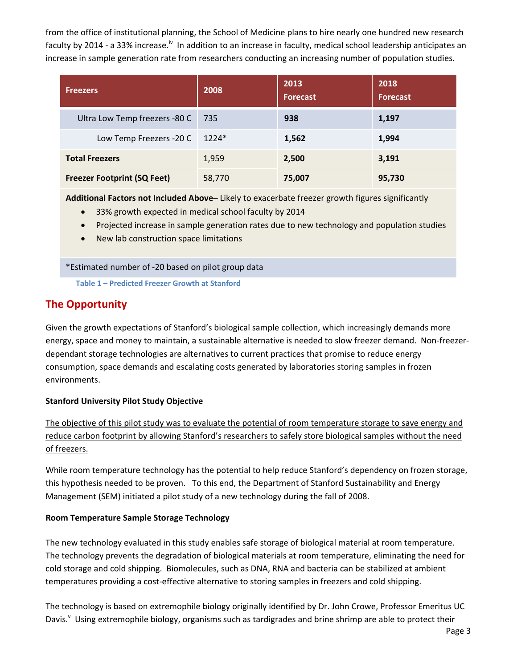from the office of institutional planning, the School of Medicine plans to hire nearly one hundred new research faculty by 2014 - a 33% increase.<sup>iv</sup> In addition to an increase in faculty, medical school leadership anticipates an increase in sample generation rate from researchers conducting an increasing number of population studies.

| <b>Freezers</b>                    | 2008   | 2013<br><b>Forecast</b> | 2018<br><b>Forecast</b> |
|------------------------------------|--------|-------------------------|-------------------------|
| Ultra Low Temp freezers -80 C      | -735   | 938                     | 1,197                   |
| Low Temp Freezers - 20 C   1224*   |        | 1,562                   | 1,994                   |
| <b>Total Freezers</b>              | 1,959  | 2,500                   | 3,191                   |
| <b>Freezer Footprint (SQ Feet)</b> | 58,770 | 75,007                  | 95,730                  |

**Additional Factors not Included Above–** Likely to exacerbate freezer growth figures significantly

- 33% growth expected in medical school faculty by 2014
- Projected increase in sample generation rates due to new technology and population studies
- New lab construction space limitations

\*Estimated number of ‐20 based on pilot group data

**Table 1 – Predicted Freezer Growth at Stanford**

## **The Opportunity**

Given the growth expectations of Stanford's biological sample collection, which increasingly demands more energy, space and money to maintain, a sustainable alternative is needed to slow freezer demand. Non‐freezer‐ dependant storage technologies are alternatives to current practices that promise to reduce energy consumption, space demands and escalating costs generated by laboratories storing samples in frozen environments.

#### **Stanford University Pilot Study Objective**

The objective of this pilot study was to evaluate the potential of room temperature storage to save energy and reduce carbon footprint by allowing Stanford's researchers to safely store biological samples without the need of freezers.

While room temperature technology has the potential to help reduce Stanford's dependency on frozen storage, this hypothesis needed to be proven. To this end, the Department of Stanford Sustainability and Energy Management (SEM) initiated a pilot study of a new technology during the fall of 2008.

#### **Room Temperature Sample Storage Technology**

The new technology evaluated in this study enables safe storage of biological material at room temperature. The technology prevents the degradation of biological materials at room temperature, eliminating the need for cold storage and cold shipping. Biomolecules, such as DNA, RNA and bacteria can be stabilized at ambient temperatures providing a cost-effective alternative to storing samples in freezers and cold shipping.

The technology is based on extremophile biology originally identified by Dr. John Crowe, Professor Emeritus UC Davis.<sup>v</sup> Using extremophile biology, organisms such as tardigrades and brine shrimp are able to protect their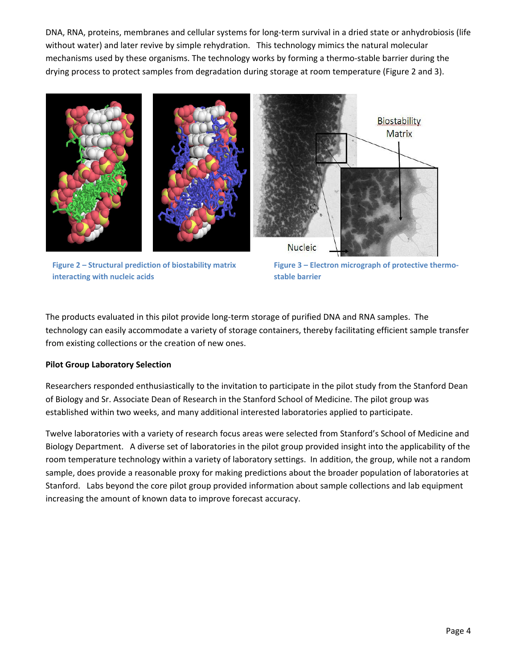DNA, RNA, proteins, membranes and cellular systems for long‐term survival in a dried state or anhydrobiosis (life without water) and later revive by simple rehydration. This technology mimics the natural molecular mechanisms used by these organisms. The technology works by forming a thermo-stable barrier during the drying process to protect samples from degradation during storage at room temperature (Figure 2 and 3).



**Figure 2 – Structural prediction of biostability matrix interacting with nucleic acids**

**Figure 3 – Electron micrograph of protective thermo‐ stable barrier**

The products evaluated in this pilot provide long‐term storage of purified DNA and RNA samples. The technology can easily accommodate a variety of storage containers, thereby facilitating efficient sample transfer from existing collections or the creation of new ones.

#### **Pilot Group Laboratory Selection**

Researchers responded enthusiastically to the invitation to participate in the pilot study from the Stanford Dean of Biology and Sr. Associate Dean of Research in the Stanford School of Medicine. The pilot group was established within two weeks, and many additional interested laboratories applied to participate.

Twelve laboratories with a variety of research focus areas were selected from Stanford's School of Medicine and Biology Department. A diverse set of laboratories in the pilot group provided insight into the applicability of the room temperature technology within a variety of laboratory settings. In addition, the group, while not a random sample, does provide a reasonable proxy for making predictions about the broader population of laboratories at Stanford. Labs beyond the core pilot group provided information about sample collections and lab equipment increasing the amount of known data to improve forecast accuracy.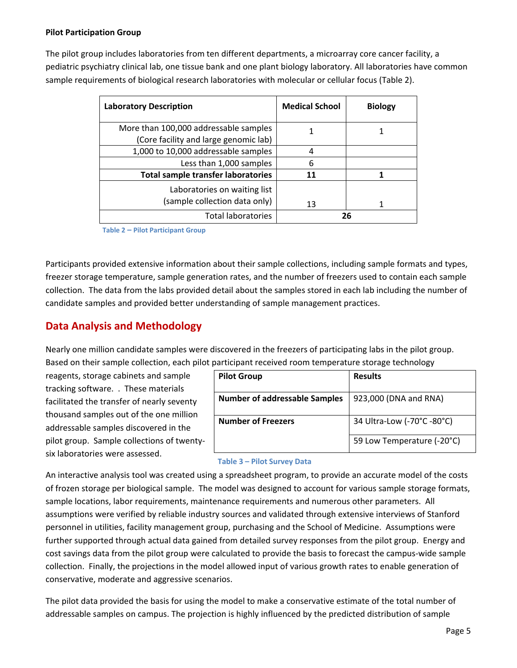#### **Pilot Participation Group**

The pilot group includes laboratories from ten different departments, a microarray core cancer facility, a pediatric psychiatry clinical lab, one tissue bank and one plant biology laboratory. All laboratories have common sample requirements of biological research laboratories with molecular or cellular focus (Table 2).

| <b>Laboratory Description</b>                                                  | <b>Medical School</b> | <b>Biology</b> |
|--------------------------------------------------------------------------------|-----------------------|----------------|
| More than 100,000 addressable samples<br>(Core facility and large genomic lab) |                       |                |
| 1,000 to 10,000 addressable samples                                            | 4                     |                |
| Less than 1,000 samples                                                        | 6                     |                |
| <b>Total sample transfer laboratories</b>                                      | 11                    |                |
| Laboratories on waiting list<br>(sample collection data only)                  | 13                    |                |
| <b>Total laboratories</b>                                                      |                       | 26             |

**Table 2 – Pilot Participant Group**

Participants provided extensive information about their sample collections, including sample formats and types, freezer storage temperature, sample generation rates, and the number of freezers used to contain each sample collection. The data from the labs provided detail about the samples stored in each lab including the number of candidate samples and provided better understanding of sample management practices.

## **Data Analysis and Methodology**

Nearly one million candidate samples were discovered in the freezers of participating labs in the pilot group. Based on their sample collection, each pilot participant received room temperature storage technology

reagents, storage cabinets and sample tracking software. . These materials facilitated the transfer of nearly seventy thousand samples out of the one million addressable samples discovered in the pilot group. Sample collections of twenty‐ six laboratories were assessed.

| <b>Pilot Group</b>                   | <b>Results</b>             |
|--------------------------------------|----------------------------|
| <b>Number of addressable Samples</b> | 923,000 (DNA and RNA)      |
| <b>Number of Freezers</b>            | 34 Ultra-Low (-70°C -80°C) |
|                                      | 59 Low Temperature (-20°C) |

#### **Table 3 – Pilot Survey Data**

An interactive analysis tool was created using a spreadsheet program, to provide an accurate model of the costs of frozen storage per biological sample. The model was designed to account for various sample storage formats, sample locations, labor requirements, maintenance requirements and numerous other parameters. All assumptions were verified by reliable industry sources and validated through extensive interviews of Stanford personnel in utilities, facility management group, purchasing and the School of Medicine. Assumptions were further supported through actual data gained from detailed survey responses from the pilot group. Energy and cost savings data from the pilot group were calculated to provide the basis to forecast the campus‐wide sample collection. Finally, the projections in the model allowed input of various growth rates to enable generation of conservative, moderate and aggressive scenarios.

The pilot data provided the basis for using the model to make a conservative estimate of the total number of addressable samples on campus. The projection is highly influenced by the predicted distribution of sample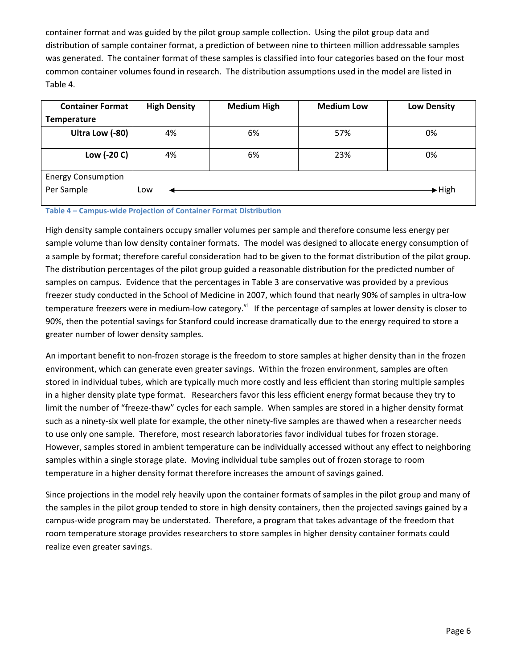container format and was guided by the pilot group sample collection. Using the pilot group data and distribution of sample container format, a prediction of between nine to thirteen million addressable samples was generated. The container format of these samples is classified into four categories based on the four most common container volumes found in research. The distribution assumptions used in the model are listed in Table 4.

| <b>Container Format</b>                 | <b>High Density</b> | <b>Medium High</b> | <b>Medium Low</b> | <b>Low Density</b>         |
|-----------------------------------------|---------------------|--------------------|-------------------|----------------------------|
| Temperature                             |                     |                    |                   |                            |
| Ultra Low (-80)                         | 4%                  | 6%                 | 57%               | 0%                         |
| Low (-20 C)                             | 4%                  | 6%                 | 23%               | 0%                         |
| <b>Energy Consumption</b><br>Per Sample | Low                 |                    |                   | $\blacktriangleright$ High |

#### **Table 4 – Campus‐wide Projection of Container Format Distribution**

High density sample containers occupy smaller volumes per sample and therefore consume less energy per sample volume than low density container formats. The model was designed to allocate energy consumption of a sample by format; therefore careful consideration had to be given to the format distribution of the pilot group. The distribution percentages of the pilot group guided a reasonable distribution for the predicted number of samples on campus. Evidence that the percentages in Table 3 are conservative was provided by a previous freezer study conducted in the School of Medicine in 2007, which found that nearly 90% of samples in ultra-low temperature freezers were in medium-low category.<sup>vi</sup> If the percentage of samples at lower density is closer to 90%, then the potential savings for Stanford could increase dramatically due to the energy required to store a greater number of lower density samples.

An important benefit to non‐frozen storage is the freedom to store samples at higher density than in the frozen environment, which can generate even greater savings. Within the frozen environment, samples are often stored in individual tubes, which are typically much more costly and less efficient than storing multiple samples in a higher density plate type format. Researchers favor this less efficient energy format because they try to limit the number of "freeze‐thaw" cycles for each sample. When samples are stored in a higher density format such as a ninety‐six well plate for example, the other ninety‐five samples are thawed when a researcher needs to use only one sample. Therefore, most research laboratories favor individual tubes for frozen storage. However, samples stored in ambient temperature can be individually accessed without any effect to neighboring samples within a single storage plate. Moving individual tube samples out of frozen storage to room temperature in a higher density format therefore increases the amount of savings gained.

Since projections in the model rely heavily upon the container formats of samples in the pilot group and many of the samples in the pilot group tended to store in high density containers, then the projected savings gained by a campus‐wide program may be understated. Therefore, a program that takes advantage of the freedom that room temperature storage provides researchers to store samples in higher density container formats could realize even greater savings.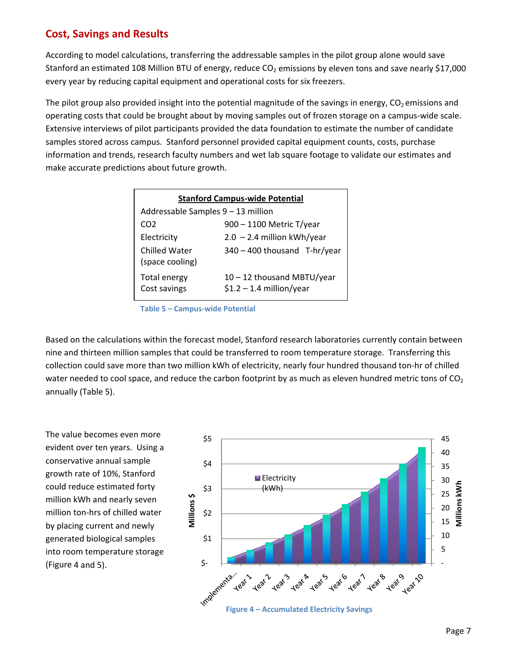## **Cost, Savings and Results**

According to model calculations, transferring the addressable samples in the pilot group alone would save Stanford an estimated 108 Million BTU of energy, reduce CO<sub>2</sub> emissions by eleven tons and save nearly \$17,000 every year by reducing capital equipment and operational costs for six freezers.

The pilot group also provided insight into the potential magnitude of the savings in energy,  $CO<sub>2</sub>$  emissions and operating costs that could be brought about by moving samples out of frozen storage on a campus‐wide scale. Extensive interviews of pilot participants provided the data foundation to estimate the number of candidate samples stored across campus. Stanford personnel provided capital equipment counts, costs, purchase information and trends, research faculty numbers and wet lab square footage to validate our estimates and make accurate predictions about future growth.

| <b>Stanford Campus-wide Potential</b> |                                                           |  |  |
|---------------------------------------|-----------------------------------------------------------|--|--|
| Addressable Samples 9 - 13 million    |                                                           |  |  |
| CO2                                   | 900 - 1100 Metric T/year                                  |  |  |
| Electricity                           | $2.0 - 2.4$ million kWh/year                              |  |  |
| Chilled Water<br>(space cooling)      | 340 - 400 thousand T-hr/year                              |  |  |
| Total energy<br>Cost savings          | $10 - 12$ thousand MBTU/year<br>$$1.2 - 1.4$ million/year |  |  |

**Table 5 – Campus‐wide Potential**

Based on the calculations within the forecast model, Stanford research laboratories currently contain between nine and thirteen million samples that could be transferred to room temperature storage. Transferring this collection could save more than two million kWh of electricity, nearly four hundred thousand ton‐hr of chilled water needed to cool space, and reduce the carbon footprint by as much as eleven hundred metric tons of  $CO<sub>2</sub>$ annually (Table 5).

The value becomes even more evident over ten years. Using a conservative annual sample growth rate of 10%, Stanford could reduce estimated forty million kWh and nearly seven million ton‐hrs of chilled water by placing current and newly generated biological samples into room temperature storage (Figure 4 and 5).

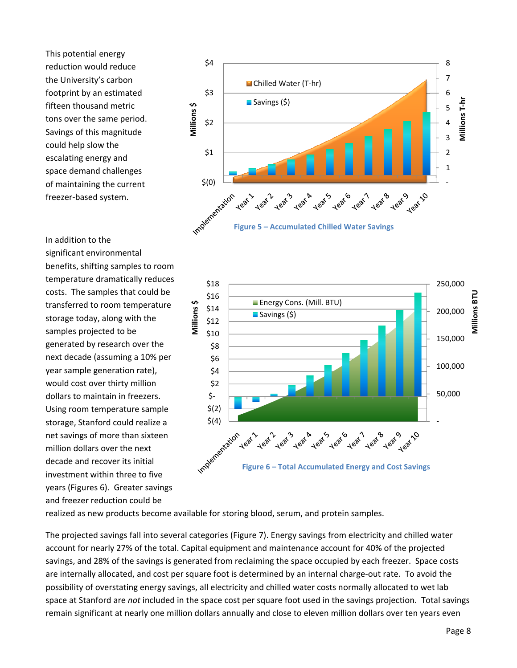This potential energy reduction would reduce the University's carbon footprint by an estimated fifteen thousand metric tons over the same period. Savings of this magnitude could help slow the escalating energy and space demand challenges of maintaining the current freezer‐based system.

In addition to the significant environmental benefits, shifting samples to room temperature dramatically reduces costs. The samples that could be transferred to room temperature storage today, along with the samples projected to be generated by research over the next decade (assuming a 10% per year sample generation rate), would cost over thirty million dollars to maintain in freezers. Using room temperature sample storage, Stanford could realize a net savings of more than sixteen million dollars over the next decade and recover its initial investment within three to five years (Figures 6). Greater savings and freezer reduction could be





realized as new products become available for storing blood, serum, and protein samples.

The projected savings fall into several categories (Figure 7). Energy savings from electricity and chilled water account for nearly 27% of the total. Capital equipment and maintenance account for 40% of the projected savings, and 28% of the savings is generated from reclaiming the space occupied by each freezer. Space costs are internally allocated, and cost per square foot is determined by an internal charge‐out rate. To avoid the possibility of overstating energy savings, all electricity and chilled water costs normally allocated to wet lab space at Stanford are *not* included in the space cost per square foot used in the savings projection. Total savings remain significant at nearly one million dollars annually and close to eleven million dollars over ten years even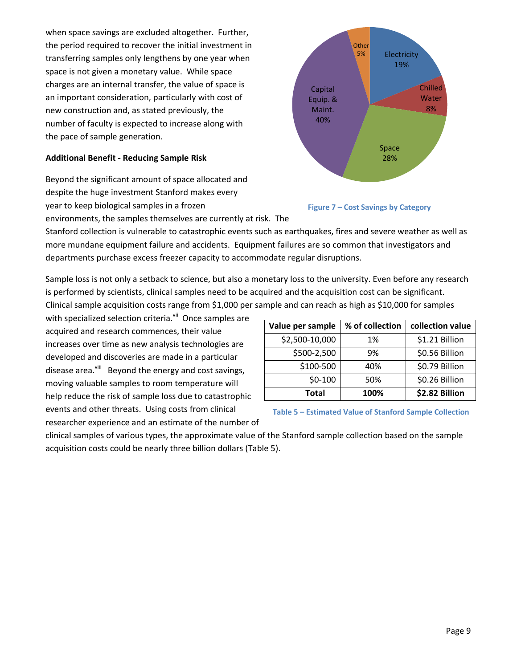when space savings are excluded altogether. Further, the period required to recover the initial investment in transferring samples only lengthens by one year when space is not given a monetary value. While space charges are an internal transfer, the value of space is an important consideration, particularly with cost of new construction and, as stated previously, the number of faculty is expected to increase along with the pace of sample generation.

#### **Additional Benefit ‐ Reducing Sample Risk**

Beyond the significant amount of space allocated and despite the huge investment Stanford makes every year to keep biological samples in a frozen environments, the samples themselves are currently at risk. The





Stanford collection is vulnerable to catastrophic events such as earthquakes, fires and severe weather as well as more mundane equipment failure and accidents. Equipment failures are so common that investigators and departments purchase excess freezer capacity to accommodate regular disruptions.

Sample loss is not only a setback to science, but also a monetary loss to the university. Even before any research is performed by scientists, clinical samples need to be acquired and the acquisition cost can be significant. Clinical sample acquisition costs range from \$1,000 per sample and can reach as high as \$10,000 for samples

with specialized selection criteria.<sup>vii</sup> Once samples are acquired and research commences, their value increases over time as new analysis technologies are developed and discoveries are made in a particular disease area.<sup>viii</sup> Beyond the energy and cost savings, moving valuable samples to room temperature will help reduce the risk of sample loss due to catastrophic events and other threats. Using costs from clinical researcher experience and an estimate of the number of

| Value per sample | % of collection | collection value |
|------------------|-----------------|------------------|
| \$2,500-10,000   | 1%              | \$1.21 Billion   |
| \$500-2,500      | 9%              | \$0.56 Billion   |
| \$100-500        | 40%             | \$0.79 Billion   |
| $$0-100$         | 50%             | \$0.26 Billion   |
| <b>Total</b>     | 100%            | \$2.82 Billion   |

**Table 5 – Estimated Value of Stanford Sample Collection**

clinical samples of various types, the approximate value of the Stanford sample collection based on the sample acquisition costs could be nearly three billion dollars (Table 5).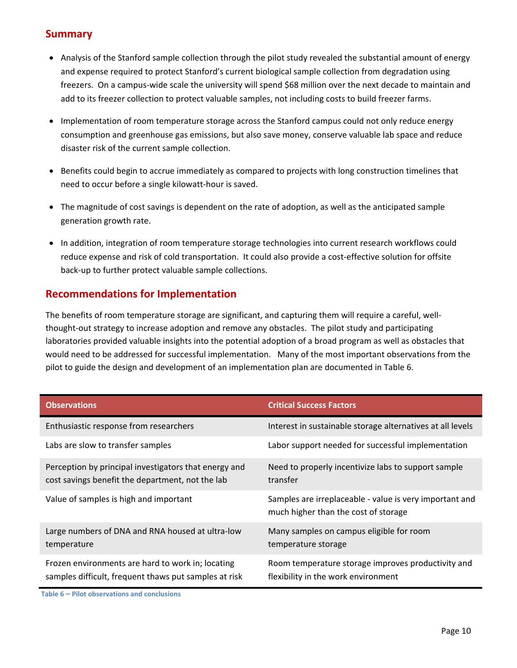## **Summary**

- Analysis of the Stanford sample collection through the pilot study revealed the substantial amount of energy and expense required to protect Stanford's current biological sample collection from degradation using freezers. On a campus-wide scale the university will spend \$68 million over the next decade to maintain and add to its freezer collection to protect valuable samples, not including costs to build freezer farms.
- Implementation of room temperature storage across the Stanford campus could not only reduce energy consumption and greenhouse gas emissions, but also save money, conserve valuable lab space and reduce disaster risk of the current sample collection.
- Benefits could begin to accrue immediately as compared to projects with long construction timelines that need to occur before a single kilowatt‐hour is saved.
- The magnitude of cost savings is dependent on the rate of adoption, as well as the anticipated sample generation growth rate.
- In addition, integration of room temperature storage technologies into current research workflows could reduce expense and risk of cold transportation. It could also provide a cost-effective solution for offsite back‐up to further protect valuable sample collections.

### **Recommendations for Implementation**

The benefits of room temperature storage are significant, and capturing them will require a careful, well‐ thought‐out strategy to increase adoption and remove any obstacles. The pilot study and participating laboratories provided valuable insights into the potential adoption of a broad program as well as obstacles that would need to be addressed for successful implementation. Many of the most important observations from the pilot to guide the design and development of an implementation plan are documented in Table 6.

| <b>Observations</b>                                                                                        | <b>Critical Success Factors</b>                                                                 |
|------------------------------------------------------------------------------------------------------------|-------------------------------------------------------------------------------------------------|
| Enthusiastic response from researchers                                                                     | Interest in sustainable storage alternatives at all levels                                      |
| Labs are slow to transfer samples                                                                          | Labor support needed for successful implementation                                              |
| Perception by principal investigators that energy and<br>cost savings benefit the department, not the lab  | Need to properly incentivize labs to support sample<br>transfer                                 |
| Value of samples is high and important                                                                     | Samples are irreplaceable - value is very important and<br>much higher than the cost of storage |
| Large numbers of DNA and RNA housed at ultra-low<br>temperature                                            | Many samples on campus eligible for room<br>temperature storage                                 |
| Frozen environments are hard to work in; locating<br>samples difficult, frequent thaws put samples at risk | Room temperature storage improves productivity and<br>flexibility in the work environment       |

**Table 6 – Pilot observations and conclusions**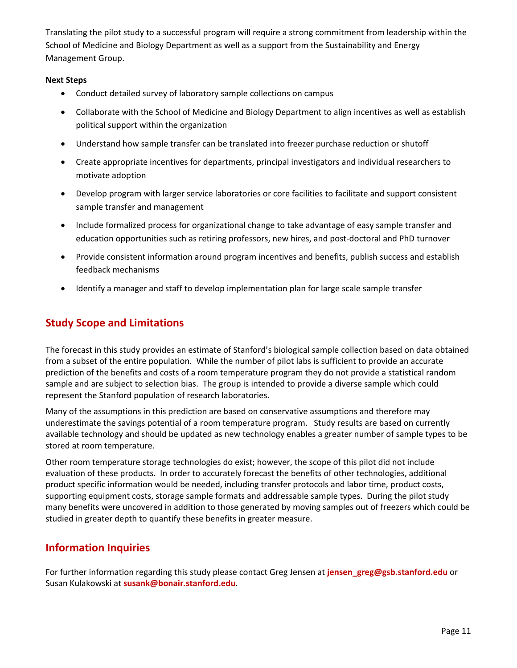Translating the pilot study to a successful program will require a strong commitment from leadership within the School of Medicine and Biology Department as well as a support from the Sustainability and Energy Management Group.

#### **Next Steps**

- Conduct detailed survey of laboratory sample collections on campus
- Collaborate with the School of Medicine and Biology Department to align incentives as well as establish political support within the organization
- Understand how sample transfer can be translated into freezer purchase reduction or shutoff
- Create appropriate incentives for departments, principal investigators and individual researchers to motivate adoption
- Develop program with larger service laboratories or core facilities to facilitate and support consistent sample transfer and management
- Include formalized process for organizational change to take advantage of easy sample transfer and education opportunities such as retiring professors, new hires, and post-doctoral and PhD turnover
- Provide consistent information around program incentives and benefits, publish success and establish feedback mechanisms
- Identify a manager and staff to develop implementation plan for large scale sample transfer

## **Study Scope and Limitations**

The forecast in this study provides an estimate of Stanford's biological sample collection based on data obtained from a subset of the entire population. While the number of pilot labs is sufficient to provide an accurate prediction of the benefits and costs of a room temperature program they do not provide a statistical random sample and are subject to selection bias. The group is intended to provide a diverse sample which could represent the Stanford population of research laboratories.

Many of the assumptions in this prediction are based on conservative assumptions and therefore may underestimate the savings potential of a room temperature program. Study results are based on currently available technology and should be updated as new technology enables a greater number of sample types to be stored at room temperature.

Other room temperature storage technologies do exist; however, the scope of this pilot did not include evaluation of these products. In order to accurately forecast the benefits of other technologies, additional product specific information would be needed, including transfer protocols and labor time, product costs, supporting equipment costs, storage sample formats and addressable sample types. During the pilot study many benefits were uncovered in addition to those generated by moving samples out of freezers which could be studied in greater depth to quantify these benefits in greater measure.

### **Information Inquiries**

For further information regarding this study please contact Greg Jensen at **jensen\_greg@gsb.stanford.edu** or Susan Kulakowski at **susank@bonair.stanford.edu**.